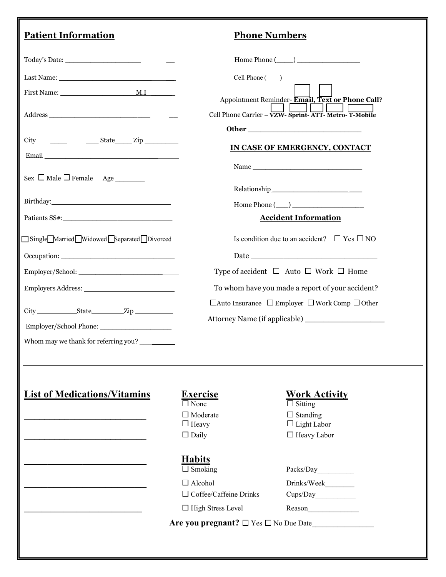## **Patient Information**

|  |  | <b>Phone Numbers</b> |
|--|--|----------------------|
|  |  |                      |

|                                                                                                                                                                                                                                |                                                                     | $Home$ Phone $(\_\_)$                                                                                                                                                                                                                                                                                                                                                                                                                                                                                       |
|--------------------------------------------------------------------------------------------------------------------------------------------------------------------------------------------------------------------------------|---------------------------------------------------------------------|-------------------------------------------------------------------------------------------------------------------------------------------------------------------------------------------------------------------------------------------------------------------------------------------------------------------------------------------------------------------------------------------------------------------------------------------------------------------------------------------------------------|
|                                                                                                                                                                                                                                | $Cell$ Phone $(\_\_)$                                               |                                                                                                                                                                                                                                                                                                                                                                                                                                                                                                             |
|                                                                                                                                                                                                                                |                                                                     | Appointment Reminder-Email, Text or Phone Call?                                                                                                                                                                                                                                                                                                                                                                                                                                                             |
|                                                                                                                                                                                                                                |                                                                     | Cell Phone Carrier – VZW- Sprint-ATT- Metro- T-Mobile                                                                                                                                                                                                                                                                                                                                                                                                                                                       |
|                                                                                                                                                                                                                                |                                                                     |                                                                                                                                                                                                                                                                                                                                                                                                                                                                                                             |
|                                                                                                                                                                                                                                |                                                                     |                                                                                                                                                                                                                                                                                                                                                                                                                                                                                                             |
|                                                                                                                                                                                                                                |                                                                     | IN CASE OF EMERGENCY, CONTACT                                                                                                                                                                                                                                                                                                                                                                                                                                                                               |
|                                                                                                                                                                                                                                |                                                                     | Name                                                                                                                                                                                                                                                                                                                                                                                                                                                                                                        |
|                                                                                                                                                                                                                                |                                                                     |                                                                                                                                                                                                                                                                                                                                                                                                                                                                                                             |
| Birthday: North Commission of the Commission of the Commission of the Commission of the Commission of the Commission of the Commission of the Commission of the Commission of the Commission of the Commission of the Commissi |                                                                     | $\begin{tabular}{c} Relationship \hspace{1.5cm} \hspace{1.5cm} \textbf{\textcolor{red}{\textbf{Relationship}}}\hspace{1.5cm} \textcolor{red}{\textbf{\textcolor{red}{\textbf{N}}}}\hspace{1.5cm} \textcolor{red}{\textbf{\textcolor{red}{\textbf{N}}}}\hspace{1.5cm} \textcolor{red}{\textbf{\textcolor{red}{\textbf{N}}}}\hspace{1.5cm} \textcolor{red}{\textbf{\textcolor{red}{\textbf{N}}}}\hspace{1.5cm} \textcolor{red}{\textbf{\textcolor{red}{\textbf{N}}}}\hspace{1.5cm} \textcolor{red}{\textbf{\$ |
|                                                                                                                                                                                                                                |                                                                     | $Home  Phone (\_ )$                                                                                                                                                                                                                                                                                                                                                                                                                                                                                         |
| Patients SS#:                                                                                                                                                                                                                  |                                                                     | <b>Accident Information</b>                                                                                                                                                                                                                                                                                                                                                                                                                                                                                 |
| Single Married Widowed Separated Divorced                                                                                                                                                                                      |                                                                     | Is condition due to an accident? $\Box$ Yes $\Box$ NO                                                                                                                                                                                                                                                                                                                                                                                                                                                       |
| Occupation:                                                                                                                                                                                                                    |                                                                     |                                                                                                                                                                                                                                                                                                                                                                                                                                                                                                             |
|                                                                                                                                                                                                                                | Type of accident $\Box$ Auto $\Box$ Work $\Box$ Home                |                                                                                                                                                                                                                                                                                                                                                                                                                                                                                                             |
|                                                                                                                                                                                                                                |                                                                     | To whom have you made a report of your accident?                                                                                                                                                                                                                                                                                                                                                                                                                                                            |
|                                                                                                                                                                                                                                | $\Box$ Auto Insurance $\Box$ Employer $\Box$ Work Comp $\Box$ Other |                                                                                                                                                                                                                                                                                                                                                                                                                                                                                                             |
|                                                                                                                                                                                                                                |                                                                     |                                                                                                                                                                                                                                                                                                                                                                                                                                                                                                             |
|                                                                                                                                                                                                                                |                                                                     |                                                                                                                                                                                                                                                                                                                                                                                                                                                                                                             |
| Employer/School Phone:                                                                                                                                                                                                         |                                                                     |                                                                                                                                                                                                                                                                                                                                                                                                                                                                                                             |
|                                                                                                                                                                                                                                |                                                                     |                                                                                                                                                                                                                                                                                                                                                                                                                                                                                                             |
|                                                                                                                                                                                                                                |                                                                     |                                                                                                                                                                                                                                                                                                                                                                                                                                                                                                             |
|                                                                                                                                                                                                                                |                                                                     |                                                                                                                                                                                                                                                                                                                                                                                                                                                                                                             |
|                                                                                                                                                                                                                                | <b>Exercise</b>                                                     | <b>Work Activity</b>                                                                                                                                                                                                                                                                                                                                                                                                                                                                                        |
|                                                                                                                                                                                                                                | $\Box$ None                                                         | $\Box$ Sitting                                                                                                                                                                                                                                                                                                                                                                                                                                                                                              |
|                                                                                                                                                                                                                                | $\Box$ Moderate                                                     | $\Box$ Standing                                                                                                                                                                                                                                                                                                                                                                                                                                                                                             |
|                                                                                                                                                                                                                                | $\Box$ Heavy<br>$\Box$ Daily                                        | $\Box$ Light Labor<br>$\Box$ Heavy Labor                                                                                                                                                                                                                                                                                                                                                                                                                                                                    |
|                                                                                                                                                                                                                                |                                                                     |                                                                                                                                                                                                                                                                                                                                                                                                                                                                                                             |
|                                                                                                                                                                                                                                | <b>Habits</b>                                                       |                                                                                                                                                                                                                                                                                                                                                                                                                                                                                                             |
|                                                                                                                                                                                                                                | $\Box$ Smoking                                                      | Packs/Day                                                                                                                                                                                                                                                                                                                                                                                                                                                                                                   |
|                                                                                                                                                                                                                                | $\Box$ Alcohol                                                      | Drinks/Week                                                                                                                                                                                                                                                                                                                                                                                                                                                                                                 |
| Whom may we thank for referring you?<br><b>List of Medications/Vitamins</b>                                                                                                                                                    | $\Box$ Coffee/Caffeine Drinks<br>$\Box$ High Stress Level           | Cups/Day                                                                                                                                                                                                                                                                                                                                                                                                                                                                                                    |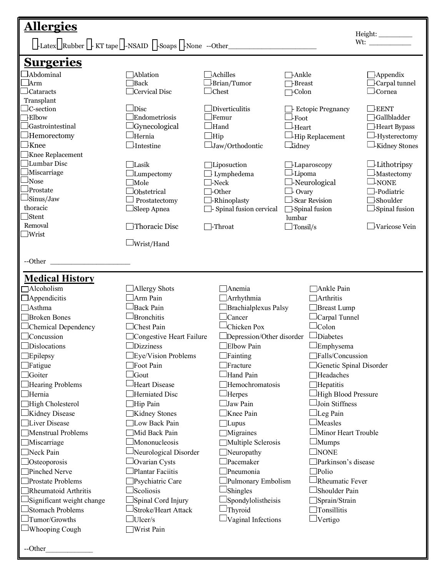| <b>Allergies</b>                                                                                   |                          |                                 |                                 |                            | Height:___________    |
|----------------------------------------------------------------------------------------------------|--------------------------|---------------------------------|---------------------------------|----------------------------|-----------------------|
| $\Box$ Latex $\Box$ Rubber $\Box$ -KT tape $\Box$ -NSAID $\Box$ -Soaps $\Box$ -None --Other $\Box$ |                          |                                 |                                 |                            |                       |
| <b>Surgeries</b>                                                                                   |                          |                                 |                                 |                            |                       |
| $\Box$ Abdominal                                                                                   | Ablation                 | <b>H</b> chilles                | 7-Ankle                         |                            | $\exists$ Appendix    |
| ⊥Arm                                                                                               | <b>Back</b>              | Brian/Tumor                     | <b>-Breast</b>                  |                            | Carpal tunnel         |
| $\perp$ Cataracts                                                                                  | Cervical Disc            | $\Box$ Chest                    | -Colon                          |                            | $\Box$ Cornea         |
| Transplant                                                                                         |                          |                                 |                                 |                            |                       |
| $\Box$ C-section                                                                                   | $\Box$ Disc              | $\Box$ Diverticulitis           |                                 | <b>Ectopic Pregnancy</b>   | $\Box$ EENT           |
| <b>Elbow</b>                                                                                       | Endometriosis            | $\Box$ Femur                    | $\perp$ Foot                    |                            | <b>Gallbladder</b>    |
| <b>Gastrointestinal</b>                                                                            | <b>Gynecological</b>     | $\Box$ Hand                     | $\perp_{\text{Heart}}$          |                            | Heart Bypass          |
| $\Box$ Hemorectomy                                                                                 | -<br>Hernia              | $\Box$ Hip                      |                                 | Hip Replacement            | -Hysterectomy         |
| $\Box$ Knee                                                                                        | $\Box$ Intestine         | $\Box$ Jaw/Orthodontic          | _tidney                         |                            | $\perp$ Kidney Stones |
| Knee Replacement                                                                                   |                          |                                 |                                 |                            |                       |
| Lumbar Disc                                                                                        | Lasik                    | Liposuction                     | -Laparoscopy                    |                            | $\perp$ Lithotripsy   |
| Miscarriage                                                                                        | $\Box$ Lumpectomy        | $\Box$ Lymphedema               | ⊥Lipoma                         |                            | $\perp$ Mastectomy    |
| $1_{\rm Nose}$<br>Prostate                                                                         | $\Box$ Mole              | $\Box$ -Neck                    | -Neurological                   |                            | $\perp$ NONE          |
| Sinus/Jaw                                                                                          | Obstetrical              | $\Box$ -Other                   | $\Box$ Ovary                    |                            | -Podiatric            |
| thoracic                                                                                           | Prostatectomy            | $\Box$ -Rhinoplasty             | Scar Revision                   |                            | $\Box$ Shoulder       |
| $\exists$ Stent                                                                                    | Sleep Apnea              | $\Box$ - Spinal fusion cervical | $\Box$ -Spinal fusion<br>lumbar |                            | $\Box$ Spinal fusion  |
| Removal                                                                                            | Thoracic Disc            | $\Box$ -Throat                  | $\Box$ Tonsil/s                 |                            | Varicose Vein         |
| $\Box$ Wrist                                                                                       |                          |                                 |                                 |                            |                       |
|                                                                                                    | $\Box$ Wrist/Hand        |                                 |                                 |                            |                       |
|                                                                                                    |                          |                                 |                                 |                            |                       |
| --Other                                                                                            |                          |                                 |                                 |                            |                       |
|                                                                                                    |                          |                                 |                                 |                            |                       |
| <b>Medical History</b>                                                                             |                          |                                 |                                 |                            |                       |
| $\Box$ Alcoholism                                                                                  | Allergy Shots            | Anemia                          |                                 | Ankle Pain                 |                       |
| $\Box$ Appendicitis                                                                                | Arm Pain                 | Arrhythmia                      |                                 | $\Box$ Arthritis           |                       |
| <b>□Asthma</b>                                                                                     | Back Pain                | Brachialplexus Palsy            |                                 | $\Box$ Breast Lump         |                       |
| Broken Bones                                                                                       | Bronchitis               | Cancer                          |                                 | $\Box$ Carpal Tunnel       |                       |
| $\Box$ Chemical Dependency                                                                         | Chest Pain               | Chicken Pox                     |                                 | $\Box$ Colon               |                       |
| $\Box$ Concussion                                                                                  | Congestive Heart Failure | Depression/Other disorder       |                                 | $\Box$ Diabetes            |                       |
| Dislocations                                                                                       | $\Box$ Dizziness         | $\Box$ Elbow Pain               |                                 | $\square$ Emphysema        |                       |
| $\Box$ Epilepsy                                                                                    | Eye/Vision Problems      | Fainting                        |                                 | Falls/Concussion           |                       |
| $\Box$ Fatigue                                                                                     | Foot Pain                | Fracture                        |                                 | Genetic Spinal Disorder    |                       |
| <b>Goiter</b>                                                                                      | <b>Sout</b>              | Hand Pain                       |                                 | Headaches                  |                       |
| $\Box$ Hearing Problems                                                                            | Heart Disease            | Hemochromatosis                 |                                 | $\Box$ Hepatitis           |                       |
| $\Box$ Hernia                                                                                      | Herniated Disc           | Herpes                          |                                 | High Blood Pressure        |                       |
| High Cholesterol                                                                                   | Hip Pain                 | Jaw Pain                        |                                 | Join Stiffness             |                       |
| $\Box$ Kidney Disease                                                                              | Kidney Stones            | Knee Pain                       |                                 | $\Box$ Leg Pain            |                       |
| Liver Disease                                                                                      | Low Back Pain            | $\exists$ Lupus                 |                                 | $\Box$ Measles             |                       |
| Menstrual Problems                                                                                 | Mid Back Pain            | Migraines                       |                                 | $\Box$ Minor Heart Trouble |                       |
| Miscarriage                                                                                        | Mononucleosis            | Multiple Sclerosis              |                                 | $\Box$ Mumps               |                       |
| Neck Pain                                                                                          | Neurological Disorder    | Neuropathy                      |                                 | $\Box$ none                |                       |
| $\Box$ Osteoporosis                                                                                | Ovarian Cysts            | Pacemaker                       |                                 | Parkinson's disease        |                       |
| Pinched Nerve                                                                                      | Plantar Faciitis         | Pneumonia                       |                                 | $\Box$ Polio               |                       |
| Prostate Problems                                                                                  | Psychiatric Care         | Pulmonary Embolism              |                                 | Rheumatic Fever            |                       |
| Rheumatoid Arthritis                                                                               | <b>Scoliosis</b>         | Shingles                        |                                 | Shoulder Pain              |                       |
| Significant weight change                                                                          | Spinal Cord Injury       | Spondylolistheisis              |                                 | Sprain/Strain              |                       |
| Stomach Problems                                                                                   | Stroke/Heart Attack      | Thyroid                         |                                 | Tonsillitis                |                       |
| $\Box$ Tumor/Growths                                                                               | $\exists$ Ulcer/s        | Vaginal Infections              |                                 | $\Box$ Vertigo             |                       |
| $\Box$ Whooping Cough                                                                              | Wrist Pain               |                                 |                                 |                            |                       |
|                                                                                                    |                          |                                 |                                 |                            |                       |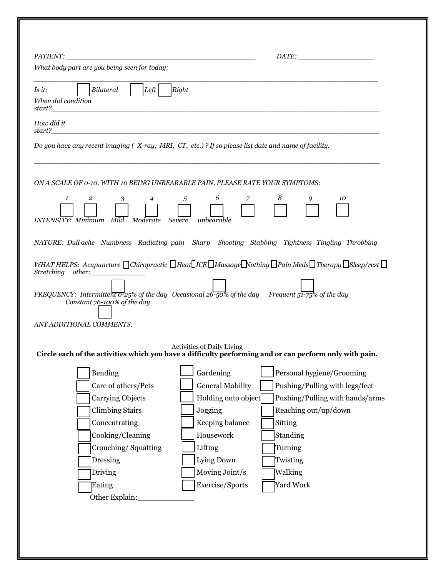| What body part are you being seen for today:              |                                                                                                                                                           |
|-----------------------------------------------------------|-----------------------------------------------------------------------------------------------------------------------------------------------------------|
| Left<br>Bilateral<br>Is it:<br>When did condition         | Right                                                                                                                                                     |
| How did it                                                |                                                                                                                                                           |
|                                                           |                                                                                                                                                           |
|                                                           | Do you have any recent imaging ( $X$ -ray, MRI, CT, etc.)? If so please list date and name of facility.                                                   |
|                                                           |                                                                                                                                                           |
|                                                           |                                                                                                                                                           |
|                                                           | ON A SCALE OF 0-10, WITH 10 BEING UNBEARABLE PAIN, PLEASE RATE YOUR SYMPTOMS:                                                                             |
| $\mathbf{1}$<br>$\overline{2}$<br>3<br>4                  | 8<br>5<br>6<br>7<br>10<br>9                                                                                                                               |
|                                                           |                                                                                                                                                           |
| <b>INTENSITY:</b> Minimum Mild Moderate Severe unbearable |                                                                                                                                                           |
|                                                           | NATURE: Dull ache Numbness Radiating pain Sharp Shooting Stabbing Tightness Tingling Throbbing                                                            |
|                                                           |                                                                                                                                                           |
|                                                           |                                                                                                                                                           |
|                                                           |                                                                                                                                                           |
| Stretching other:                                         | WHAT HELPS: Acupuncture $\Box$ Chiropractic $\Box$ Heat $\Box$ ICE $\Box$ Massage $\Box$ Nothing $\Box$ Pain Meds $\Box$ Therapy $\Box$ Sleep/rest $\Box$ |
|                                                           |                                                                                                                                                           |
| Constant 76-100% of the day                               | FREQUENCY: Intermittent $\overline{o}$ -25% of the day Occasional 26-50% of the day Frequent 51-75% of the day                                            |
|                                                           |                                                                                                                                                           |
| ANY ADDITIONAL COMMENTS:                                  |                                                                                                                                                           |
|                                                           |                                                                                                                                                           |
|                                                           | <b>Activities of Daily Living</b><br>Circle each of the activities which you have a difficulty performing and or can perform only with pain.              |
|                                                           |                                                                                                                                                           |
| Bending                                                   | Gardening<br>Personal hygiene/Grooming                                                                                                                    |
| Care of others/Pets                                       | <b>General Mobility</b><br>Pushing/Pulling with legs/feet                                                                                                 |
| Carrying Objects                                          | Holding onto object<br>Pushing/Pulling with hands/arms                                                                                                    |
| <b>Climbing Stairs</b>                                    | Jogging<br>Reaching out/up/down                                                                                                                           |
| Concentrating                                             | Keeping balance<br>Sitting                                                                                                                                |
| Cooking/Cleaning                                          | Housework<br>Standing                                                                                                                                     |
| Crouching/Squatting                                       | Lifting<br>Turning                                                                                                                                        |
| Dressing                                                  | Lying Down<br>Twisting                                                                                                                                    |
| Driving                                                   | Moving Joint/s<br>Walking                                                                                                                                 |
| Eating<br>Other Explain:                                  | Exercise/Sports<br>Yard Work                                                                                                                              |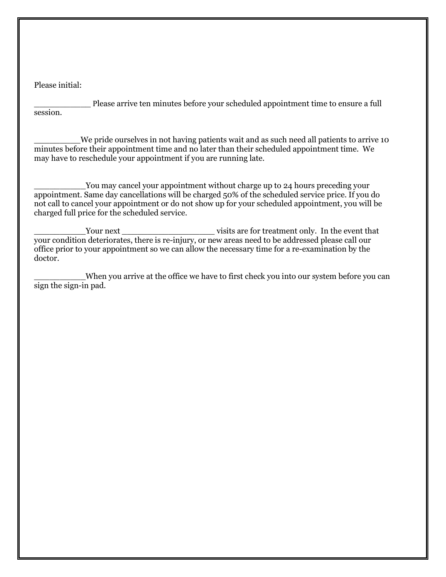Please initial:

Please arrive ten minutes before your scheduled appointment time to ensure a full session.

We pride ourselves in not having patients wait and as such need all patients to arrive 10 minutes before their appointment time and no later than their scheduled appointment time. We may have to reschedule your appointment if you are running late.

You may cancel your appointment without charge up to 24 hours preceding your appointment. Same day cancellations will be charged 50% of the scheduled service price. If you do not call to cancel your appointment or do not show up for your scheduled appointment, you will be charged full price for the scheduled service.

\_\_\_\_\_\_\_\_\_\_Your next \_\_\_\_\_\_\_\_\_\_\_\_\_\_\_\_\_\_ visits are for treatment only. In the event that your condition deteriorates, there is re-injury, or new areas need to be addressed please call our office prior to your appointment so we can allow the necessary time for a re-examination by the doctor.

\_\_\_\_\_\_\_\_\_\_When you arrive at the office we have to first check you into our system before you can sign the sign-in pad.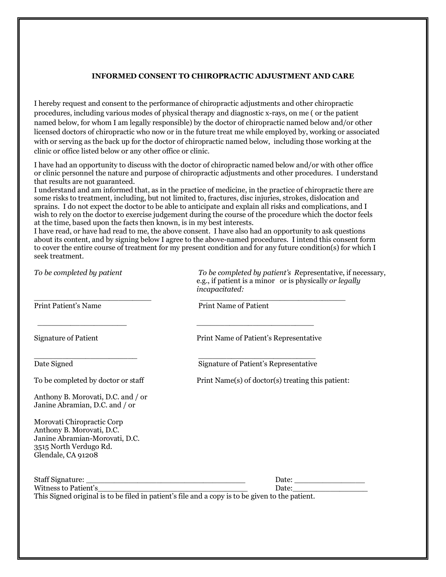### **INFORMED CONSENT TO CHIROPRACTIC ADJUSTMENT AND CARE**

I hereby request and consent to the performance of chiropractic adjustments and other chiropractic procedures, including various modes of physical therapy and diagnostic x-rays, on me ( or the patient named below, for whom I am legally responsible) by the doctor of chiropractic named below and/or other licensed doctors of chiropractic who now or in the future treat me while employed by, working or associated with or serving as the back up for the doctor of chiropractic named below, including those working at the clinic or office listed below or any other office or clinic.

I have had an opportunity to discuss with the doctor of chiropractic named below and/or with other office or clinic personnel the nature and purpose of chiropractic adjustments and other procedures. I understand that results are not guaranteed.

I understand and am informed that, as in the practice of medicine, in the practice of chiropractic there are some risks to treatment, including, but not limited to, fractures, disc injuries, strokes, dislocation and sprains. I do not expect the doctor to be able to anticipate and explain all risks and complications, and I wish to rely on the doctor to exercise judgement during the course of the procedure which the doctor feels at the time, based upon the facts then known, is in my best interests.

I have read, or have had read to me, the above consent. I have also had an opportunity to ask questions about its content, and by signing below I agree to the above-named procedures. I intend this consent form to cover the entire course of treatment for my present condition and for any future condition(s) for which I seek treatment.

| To be completed by patient                                                                                                                | To be completed by patient's Representative, if necessary,<br>e.g., if patient is a minor or is physically or legally<br>incapacitated: |
|-------------------------------------------------------------------------------------------------------------------------------------------|-----------------------------------------------------------------------------------------------------------------------------------------|
| <b>Print Patient's Name</b>                                                                                                               | <b>Print Name of Patient</b>                                                                                                            |
| <b>Signature of Patient</b>                                                                                                               | Print Name of Patient's Representative                                                                                                  |
| Date Signed                                                                                                                               | Signature of Patient's Representative                                                                                                   |
| To be completed by doctor or staff                                                                                                        | Print Name(s) of doctor(s) treating this patient:                                                                                       |
| Anthony B. Morovati, D.C. and / or<br>Janine Abramian, D.C. and / or                                                                      |                                                                                                                                         |
| Morovati Chiropractic Corp<br>Anthony B. Morovati, D.C.<br>Janine Abramian-Morovati, D.C.<br>3515 North Verdugo Rd.<br>Glendale, CA 91208 |                                                                                                                                         |
|                                                                                                                                           |                                                                                                                                         |
| Witness to Patient's                                                                                                                      |                                                                                                                                         |
|                                                                                                                                           | This Signed original is to be filed in patient's file and a copy is to be given to the patient.                                         |
|                                                                                                                                           |                                                                                                                                         |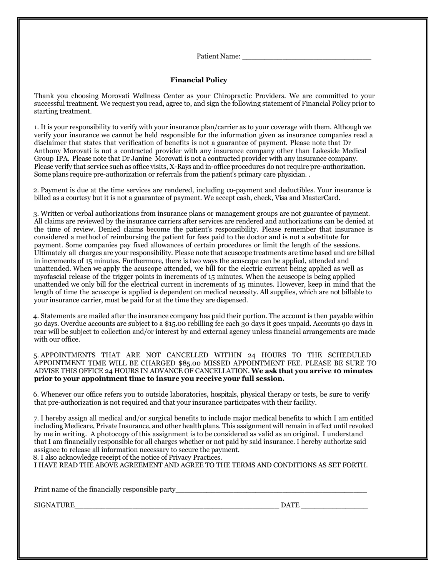Patient Name: \_\_\_\_\_\_\_\_\_\_\_\_\_\_\_\_\_\_\_\_\_\_\_\_\_\_\_\_\_

#### **Financial Policy**

Thank you choosing Morovati Wellness Center as your Chiropractic Providers. We are committed to your successful treatment. We request you read, agree to, and sign the following statement of Financial Policy prior to starting treatment.

1. It is your responsibility to verify with your insurance plan/carrier as to your coverage with them. Although we verify your insurance we cannot be held responsible for the information given as insurance companies read a disclaimer that states that verification of benefits is not a guarantee of payment. Please note that Dr Anthony Morovati is not a contracted provider with any insurance company other than Lakeside Medical Group IPA. Please note that Dr Janine Morovati is not a contracted provider with any insurance company. Please verify that service such as office visits, X-Rays and in-office procedures do not require pre-authorization. Some plans require pre-authorization or referrals from the patient's primary care physician. .

2. Payment is due at the time services are rendered, including co-payment and deductibles. Your insurance is billed as a courtesy but it is not a guarantee of payment. We accept cash, check, Visa and MasterCard.

3. Written or verbal authorizations from insurance plans or management groups are not guarantee of payment. All claims are reviewed by the insurance carriers after services are rendered and authorizations can be denied at the time of review. Denied claims become the patient's responsibility. Please remember that insurance is considered a method of reimbursing the patient for fees paid to the doctor and is not a substitute for payment. Some companies pay fixed allowances of certain procedures or limit the length of the sessions. Ultimately all charges are your responsibility. Please note that acuscope treatments are time based and are billed in increments of 15 minutes. Furthermore, there is two ways the acuscope can be applied, attended and unattended. When we apply the acuscope attended, we bill for the electric current being applied as well as myofascial release of the trigger points in increments of 15 minutes. When the acuscope is being applied unattended we only bill for the electrical current in increments of 15 minutes. However, keep in mind that the length of time the acuscope is applied is dependent on medical necessity. All supplies, which are not billable to your insurance carrier, must be paid for at the time they are dispensed.

4. Statements are mailed after the insurance company has paid their portion. The account is then payable within 30 days. Overdue accounts are subject to a \$15.00 rebilling fee each 30 days it goes unpaid. Accounts 90 days in rear will be subject to collection and/or interest by and external agency unless financial arrangements are made with our office.

5. APPOINTMENTS THAT ARE NOT CANCELLED WITHIN 24 HOURS TO THE SCHEDULED APPOINTMENT TIME WILL BE CHARGED \$85.00 MISSED APPOINTMENT FEE. PLEASE BE SURE TO ADVISE THIS OFFICE 24 HOURS IN ADVANCE OF CANCELLATION. **We ask that you arrive 10 minutes prior to your appointment time to insure you receive your full session.**

6. Whenever our office refers you to outside laboratories, hospitals, physical therapy or tests, be sure to verify that pre-authorization is not required and that your insurance participates with their facility.

7. I hereby assign all medical and/or surgical benefits to include major medical benefits to which I am entitled including Medicare, Private Insurance, and other health plans. This assignment will remain in effect until revoked by me in writing. A photocopy of this assignment is to be considered as valid as an original. I understand that I am financially responsible for all charges whether or not paid by said insurance. I hereby authorize said assignee to release all information necessary to secure the payment.

8. I also acknowledge receipt of the notice of Privacy Practices.

I HAVE READ THE ABOVE AGREEMENT AND AGREE TO THE TERMS AND CONDITIONS AS SET FORTH.

Print name of the financially responsible party\_\_\_\_\_\_\_\_\_\_\_\_\_\_\_\_\_\_\_\_\_\_\_\_\_\_\_\_\_\_\_\_\_\_

 $\Box$  SIGNATURE  $\Box$  DATE  $\Box$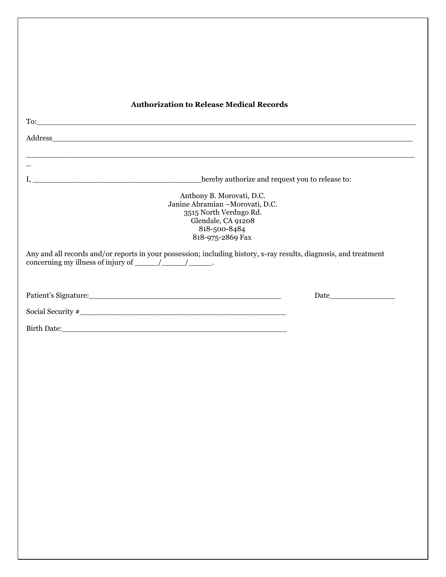| <b>Authorization to Release Medical Records</b>                                                              |                                                 |
|--------------------------------------------------------------------------------------------------------------|-------------------------------------------------|
|                                                                                                              |                                                 |
|                                                                                                              |                                                 |
|                                                                                                              |                                                 |
|                                                                                                              |                                                 |
|                                                                                                              | hereby authorize and request you to release to: |
| Anthony B. Morovati, D.C.<br>Janine Abramian -Morovati, D.C.<br>3515 North Verdugo Rd.<br>Glendale, CA 91208 |                                                 |
| 818-500-8484<br>818-975-2869 Fax                                                                             |                                                 |
|                                                                                                              |                                                 |
|                                                                                                              |                                                 |
|                                                                                                              |                                                 |
|                                                                                                              |                                                 |
|                                                                                                              |                                                 |
|                                                                                                              |                                                 |
|                                                                                                              |                                                 |
|                                                                                                              |                                                 |
|                                                                                                              |                                                 |
|                                                                                                              |                                                 |
|                                                                                                              |                                                 |
|                                                                                                              |                                                 |
|                                                                                                              |                                                 |
|                                                                                                              |                                                 |
|                                                                                                              |                                                 |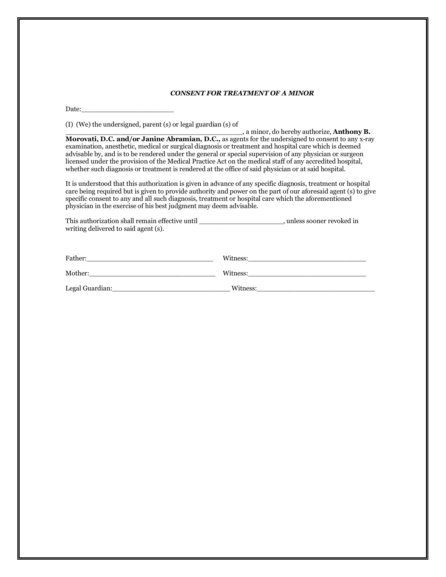#### *CONSENT FOR TREATMENT OF A MINOR*

Date:

(I) (We) the undersigned, parent (s) or legal guardian (s) of

\_\_\_\_\_\_\_\_\_\_\_\_\_\_\_\_\_\_\_\_\_\_\_\_\_\_\_\_\_\_\_\_\_\_\_\_\_\_\_\_\_\_, a minor, do hereby authorize, **Anthony B. Morovati, D.C. and/or Janine Abramian, D.C.,** as agents for the undersigned to consent to any x-ray examination, anesthetic, medical or surgical diagnosis or treatment and hospital care which is deemed advisable by, and is to be rendered under the general or special supervision of any physician or surgeon licensed under the provision of the Medical Practice Act on the medical staff of any accredited hospital, whether such diagnosis or treatment is rendered at the office of said physician or at said hospital.

It is understood that this authorization is given in advance of any specific diagnosis, treatment or hospital care being required but is given to provide authority and power on the part of our aforesaid agent (s) to give specific consent to any and all such diagnosis, treatment or hospital care which the aforementioned physician in the exercise of his best judgment may deem advisable.

| This authorization shall remain effective until | unless sooner revoked in |
|-------------------------------------------------|--------------------------|
| writing delivered to said agent (s).            |                          |

| Father:         | Witness: |
|-----------------|----------|
| Mother:         | Witness: |
| Legal Guardian: | Witness: |